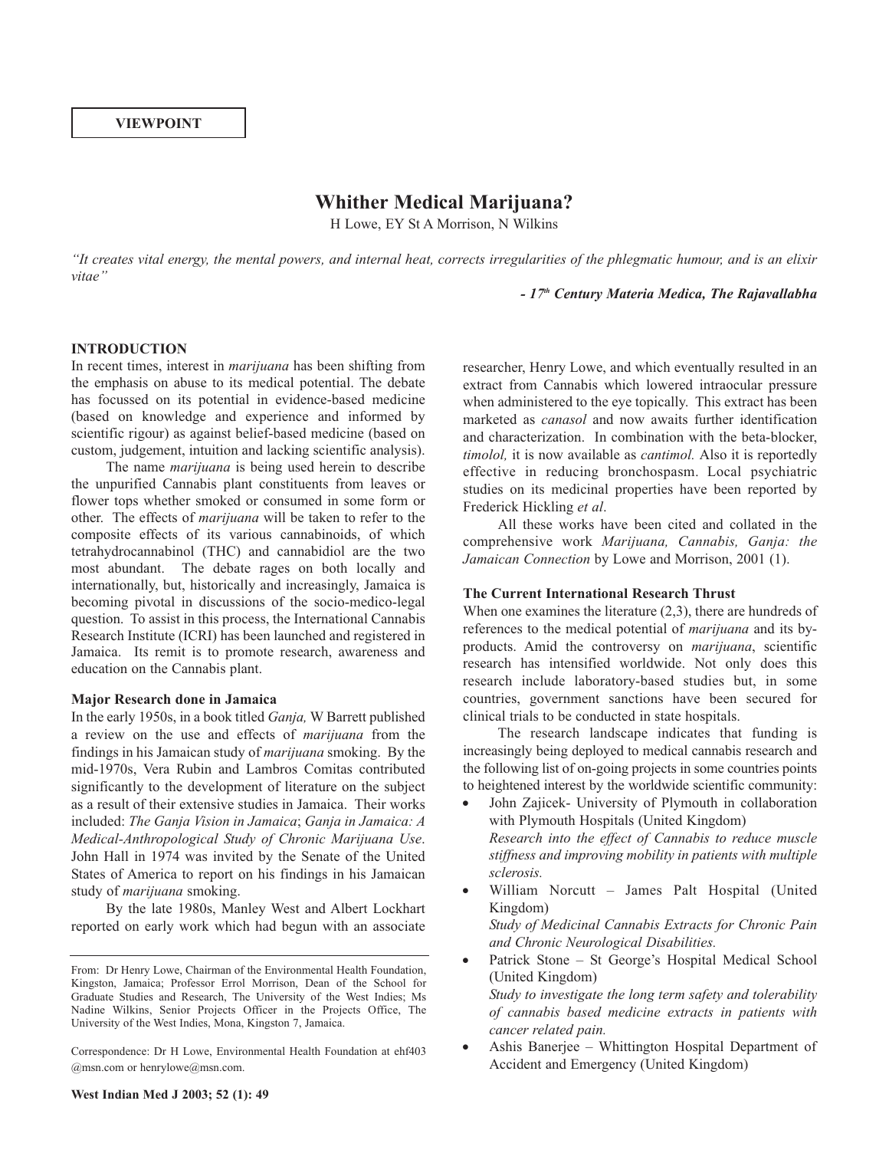# **VIEWPOINT**

# **Whither Medical Marijuana?**

H Lowe, EY St A Morrison, N Wilkins

"It creates vital energy, the mental powers, and internal heat, corrects irregularities of the phlegmatic humour, and is an elixir *vitae"*

*- 17th Century Materia Medica, The Rajavallabha*

#### **INTRODUCTION**

In recent times, interest in *marijuana* has been shifting from the emphasis on abuse to its medical potential. The debate has focussed on its potential in evidence-based medicine (based on knowledge and experience and informed by scientific rigour) as against belief-based medicine (based on custom, judgement, intuition and lacking scientific analysis).

The name *marijuana* is being used herein to describe the unpurified Cannabis plant constituents from leaves or flower tops whether smoked or consumed in some form or other. The effects of *marijuana* will be taken to refer to the composite effects of its various cannabinoids, of which tetrahydrocannabinol (THC) and cannabidiol are the two most abundant. The debate rages on both locally and internationally, but, historically and increasingly, Jamaica is becoming pivotal in discussions of the socio-medico-legal question. To assist in this process, the International Cannabis Research Institute (ICRI) has been launched and registered in Jamaica. Its remit is to promote research, awareness and education on the Cannabis plant.

#### **Major Research done in Jamaica**

In the early 1950s, in a book titled *Ganja,* W Barrett published a review on the use and effects of *marijuana* from the findings in his Jamaican study of *marijuana* smoking. By the mid-1970s, Vera Rubin and Lambros Comitas contributed significantly to the development of literature on the subject as a result of their extensive studies in Jamaica. Their works included: *The Ganja Vision in Jamaica*; *Ganja in Jamaica: A Medical-Anthropological Study of Chronic Marijuana Use*. John Hall in 1974 was invited by the Senate of the United States of America to report on his findings in his Jamaican study of *marijuana* smoking.

By the late 1980s, Manley West and Albert Lockhart reported on early work which had begun with an associate

Correspondence: Dr H Lowe, Environmental Health Foundation at ehf403 @msn.com or henrylowe@msn.com.

researcher, Henry Lowe, and which eventually resulted in an extract from Cannabis which lowered intraocular pressure when administered to the eye topically. This extract has been marketed as *canasol* and now awaits further identification and characterization. In combination with the beta-blocker, *timolol,* it is now available as *cantimol.* Also it is reportedly effective in reducing bronchospasm. Local psychiatric studies on its medicinal properties have been reported by Frederick Hickling *et al*.

All these works have been cited and collated in the comprehensive work *Marijuana, Cannabis, Ganja: the Jamaican Connection* by Lowe and Morrison, 2001 (1).

#### **The Current International Research Thrust**

When one examines the literature  $(2,3)$ , there are hundreds of references to the medical potential of *marijuana* and its byproducts. Amid the controversy on *marijuana*, scientific research has intensified worldwide. Not only does this research include laboratory-based studies but, in some countries, government sanctions have been secured for clinical trials to be conducted in state hospitals.

The research landscape indicates that funding is increasingly being deployed to medical cannabis research and the following list of on-going projects in some countries points to heightened interest by the worldwide scientific community:

- John Zajicek- University of Plymouth in collaboration with Plymouth Hospitals (United Kingdom) *Research into the effect of Cannabis to reduce muscle stiffness and improving mobility in patients with multiple sclerosis.*
- William Norcutt James Palt Hospital (United Kingdom) *Study of Medicinal Cannabis Extracts for Chronic Pain and Chronic Neurological Disabilities.*
- Patrick Stone St George's Hospital Medical School (United Kingdom) *Study to investigate the long term safety and tolerability of cannabis based medicine extracts in patients with cancer related pain.*
- Ashis Banerjee Whittington Hospital Department of Accident and Emergency (United Kingdom)

From: Dr Henry Lowe, Chairman of the Environmental Health Foundation, Kingston, Jamaica; Professor Errol Morrison, Dean of the School for Graduate Studies and Research, The University of the West Indies; Ms Nadine Wilkins, Senior Projects Officer in the Projects Office, The University of the West Indies, Mona, Kingston 7, Jamaica.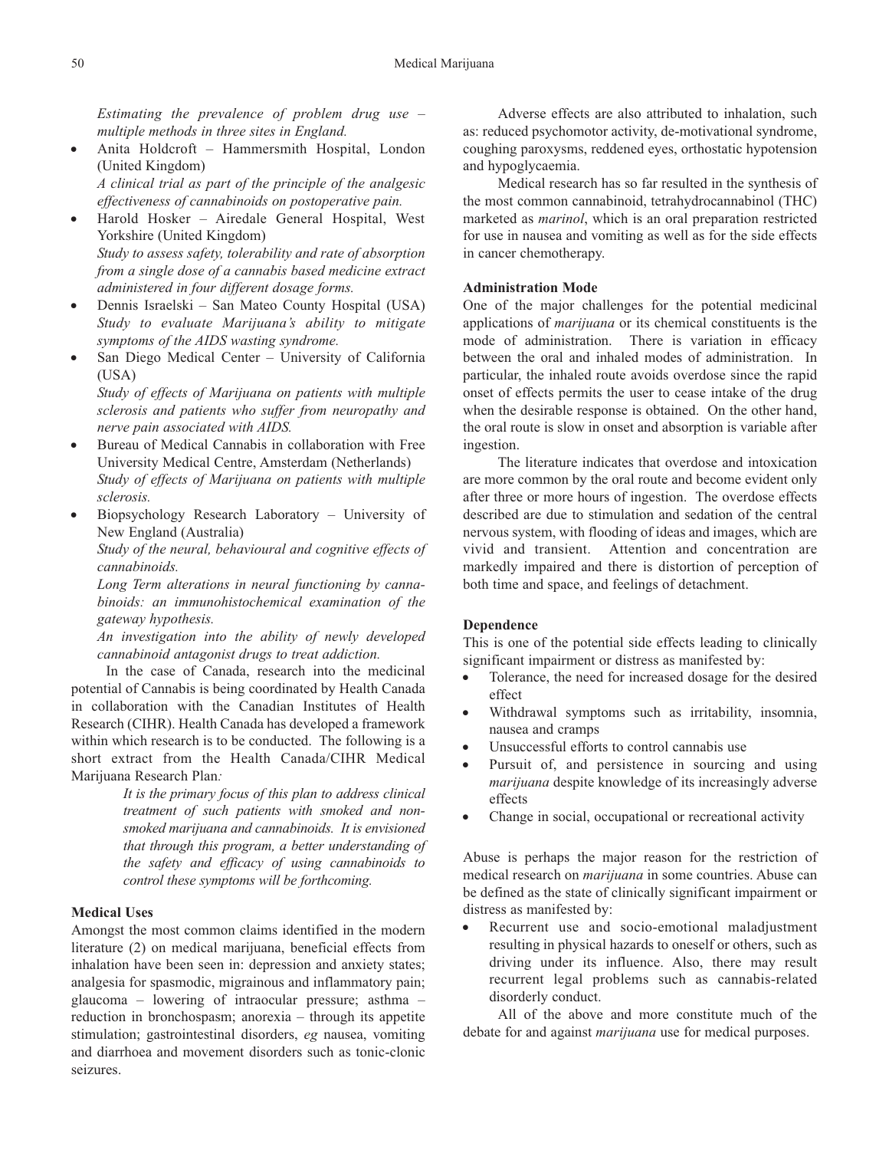*Estimating the prevalence of problem drug use – multiple methods in three sites in England.*

• Anita Holdcroft – Hammersmith Hospital, London (United Kingdom) *A clinical trial as part of the principle of the analgesic*

*effectiveness of cannabinoids on postoperative pain.*

- Harold Hosker Airedale General Hospital, West Yorkshire (United Kingdom) *Study to assess safety, tolerability and rate of absorption from a single dose of a cannabis based medicine extract administered in four different dosage forms.*
- Dennis Israelski San Mateo County Hospital (USA) *Study to evaluate Marijuana's ability to mitigate symptoms of the AIDS wasting syndrome.*
- San Diego Medical Center University of California (USA)

*Study of effects of Marijuana on patients with multiple sclerosis and patients who suffer from neuropathy and nerve pain associated with AIDS.*

- Bureau of Medical Cannabis in collaboration with Free University Medical Centre, Amsterdam (Netherlands) *Study of effects of Marijuana on patients with multiple sclerosis.*
- Biopsychology Research Laboratory University of New England (Australia)

*Study of the neural, behavioural and cognitive effects of cannabinoids.*

*Long Term alterations in neural functioning by cannabinoids: an immunohistochemical examination of the gateway hypothesis.*

*An investigation into the ability of newly developed cannabinoid antagonist drugs to treat addiction.*

In the case of Canada, research into the medicinal potential of Cannabis is being coordinated by Health Canada in collaboration with the Canadian Institutes of Health Research (CIHR). Health Canada has developed a framework within which research is to be conducted. The following is a short extract from the Health Canada/CIHR Medical Marijuana Research Plan*:*

> *It is the primary focus of this plan to address clinical treatment of such patients with smoked and nonsmoked marijuana and cannabinoids. It is envisioned that through this program, a better understanding of the safety and efficacy of using cannabinoids to control these symptoms will be forthcoming.*

# **Medical Uses**

Amongst the most common claims identified in the modern literature (2) on medical marijuana, beneficial effects from inhalation have been seen in: depression and anxiety states; analgesia for spasmodic, migrainous and inflammatory pain; glaucoma – lowering of intraocular pressure; asthma – reduction in bronchospasm; anorexia – through its appetite stimulation; gastrointestinal disorders, *eg* nausea, vomiting and diarrhoea and movement disorders such as tonic-clonic seizures.

Adverse effects are also attributed to inhalation, such as: reduced psychomotor activity, de-motivational syndrome, coughing paroxysms, reddened eyes, orthostatic hypotension and hypoglycaemia.

Medical research has so far resulted in the synthesis of the most common cannabinoid, tetrahydrocannabinol (THC) marketed as *marinol*, which is an oral preparation restricted for use in nausea and vomiting as well as for the side effects in cancer chemotherapy.

# **Administration Mode**

One of the major challenges for the potential medicinal applications of *marijuana* or its chemical constituents is the mode of administration. There is variation in efficacy between the oral and inhaled modes of administration. In particular, the inhaled route avoids overdose since the rapid onset of effects permits the user to cease intake of the drug when the desirable response is obtained. On the other hand, the oral route is slow in onset and absorption is variable after ingestion.

The literature indicates that overdose and intoxication are more common by the oral route and become evident only after three or more hours of ingestion. The overdose effects described are due to stimulation and sedation of the central nervous system, with flooding of ideas and images, which are vivid and transient. Attention and concentration are markedly impaired and there is distortion of perception of both time and space, and feelings of detachment.

### **Dependence**

This is one of the potential side effects leading to clinically significant impairment or distress as manifested by:

- Tolerance, the need for increased dosage for the desired effect
- Withdrawal symptoms such as irritability, insomnia, nausea and cramps
- Unsuccessful efforts to control cannabis use
- Pursuit of, and persistence in sourcing and using *marijuana* despite knowledge of its increasingly adverse effects
- Change in social, occupational or recreational activity

Abuse is perhaps the major reason for the restriction of medical research on *marijuana* in some countries. Abuse can be defined as the state of clinically significant impairment or distress as manifested by:

• Recurrent use and socio-emotional maladjustment resulting in physical hazards to oneself or others, such as driving under its influence. Also, there may result recurrent legal problems such as cannabis-related disorderly conduct.

All of the above and more constitute much of the debate for and against *marijuana* use for medical purposes.